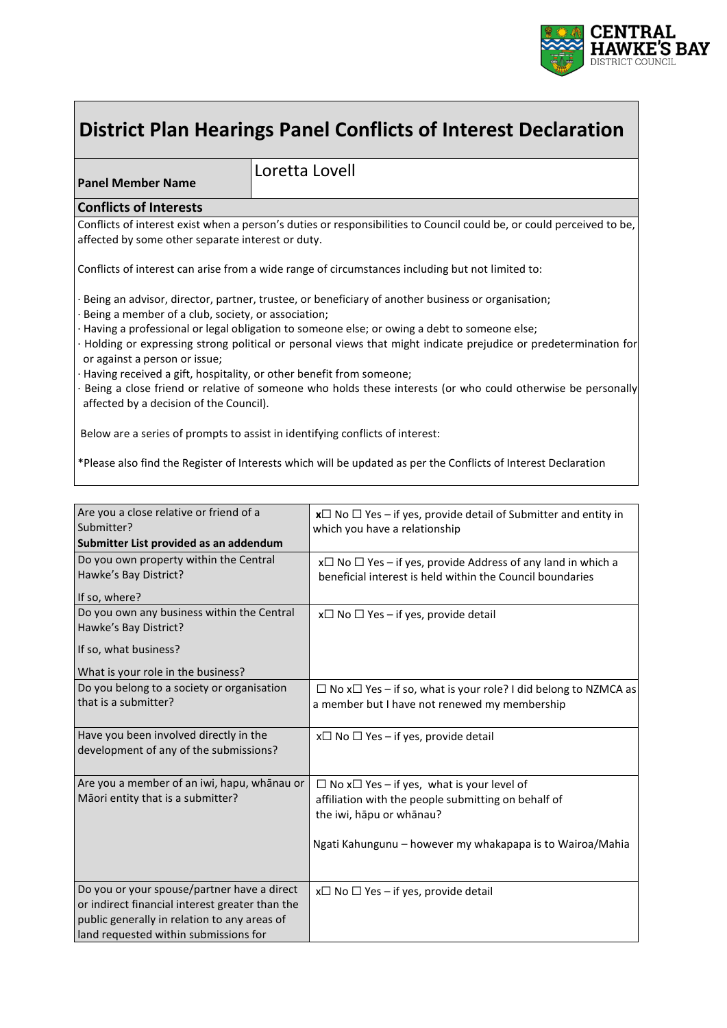

# **District Plan Hearings Panel Conflicts of Interest Declaration**

**Panel Member Name**

Loretta Lovell

#### **Conflicts of Interests**

Conflicts of interest exist when a person's duties or responsibilities to Council could be, or could perceived to be, affected by some other separate interest or duty.

Conflicts of interest can arise from a wide range of circumstances including but not limited to:

Being an advisor, director, partner, trustee, or beneficiary of another business or organisation;

- Being a member of a club, society, or association;
- · Having a professional or legal obligation to someone else; or owing a debt to someone else;
- · Holding or expressing strong political or personal views that might indicate prejudice or predetermination for or against a person or issue;
- Having received a gift, hospitality, or other benefit from someone;
- Being a close friend or relative of someone who holds these interests (or who could otherwise be personally affected by a decision of the Council).

Below are a series of prompts to assist in identifying conflicts of interest:

\*Please also find the Register of Interests which will be updated as per the Conflicts of Interest Declaration

| Are you a close relative or friend of a<br>Submitter?                                                                                                                                   | $x\Box$ No $\Box$ Yes – if yes, provide detail of Submitter and entity in                                                                                                                              |  |
|-----------------------------------------------------------------------------------------------------------------------------------------------------------------------------------------|--------------------------------------------------------------------------------------------------------------------------------------------------------------------------------------------------------|--|
| Submitter List provided as an addendum                                                                                                                                                  | which you have a relationship                                                                                                                                                                          |  |
| Do you own property within the Central<br>Hawke's Bay District?<br>If so, where?                                                                                                        | $x\Box$ No $\Box$ Yes – if yes, provide Address of any land in which a<br>beneficial interest is held within the Council boundaries                                                                    |  |
| Do you own any business within the Central<br>Hawke's Bay District?<br>If so, what business?<br>What is your role in the business?                                                      | $x \Box$ No $\Box$ Yes – if yes, provide detail                                                                                                                                                        |  |
| Do you belong to a society or organisation<br>that is a submitter?                                                                                                                      | $\Box$ No x $\Box$ Yes – if so, what is your role? I did belong to NZMCA as<br>a member but I have not renewed my membership                                                                           |  |
| Have you been involved directly in the<br>development of any of the submissions?                                                                                                        | $x \Box$ No $\Box$ Yes – if yes, provide detail                                                                                                                                                        |  |
| Are you a member of an iwi, hapu, whānau or<br>Māori entity that is a submitter?                                                                                                        | $\Box$ No x $\Box$ Yes – if yes, what is your level of<br>affiliation with the people submitting on behalf of<br>the iwi, hāpu or whānau?<br>Ngati Kahungunu – however my whakapapa is to Wairoa/Mahia |  |
| Do you or your spouse/partner have a direct<br>or indirect financial interest greater than the<br>public generally in relation to any areas of<br>land requested within submissions for | $x \Box$ No $\Box$ Yes – if yes, provide detail                                                                                                                                                        |  |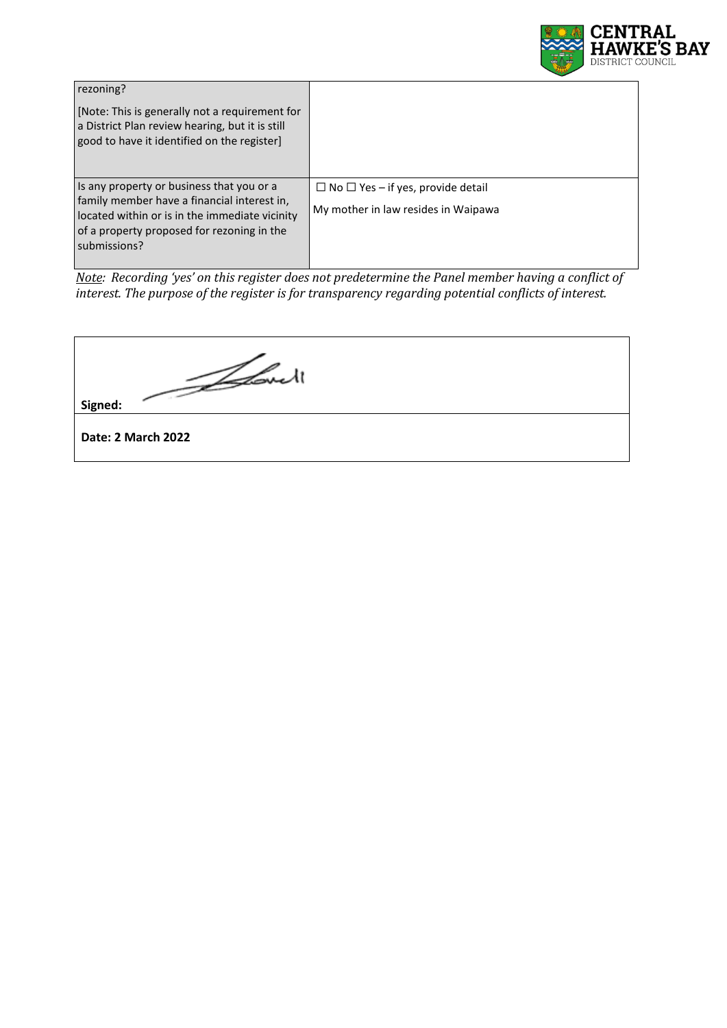

| rezoning?<br>[Note: This is generally not a requirement for<br>a District Plan review hearing, but it is still<br>good to have it identified on the register]                                            |                                                                                      |
|----------------------------------------------------------------------------------------------------------------------------------------------------------------------------------------------------------|--------------------------------------------------------------------------------------|
| Is any property or business that you or a<br>family member have a financial interest in,<br>located within or is in the immediate vicinity<br>of a property proposed for rezoning in the<br>submissions? | $\Box$ No $\Box$ Yes – if yes, provide detail<br>My mother in law resides in Waipawa |

*Note: Recording 'yes' on this register does not predetermine the Panel member having a conflict of interest. The purpose of the register is for transparency regarding potential conflicts of interest.*

Idout **Signed:**

**Date: 2 March 2022**